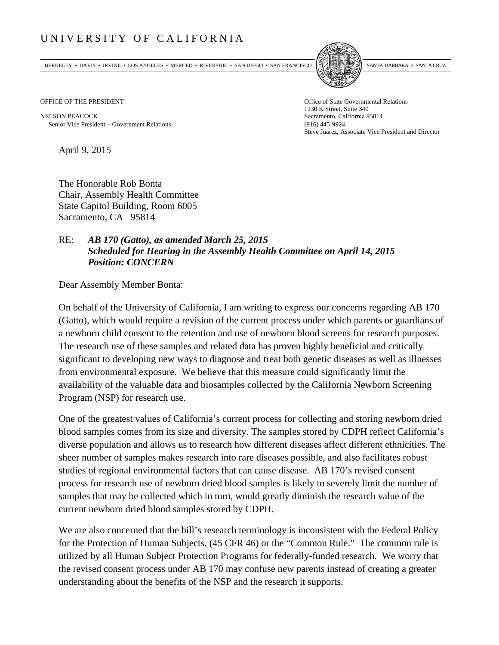## UNIVERSITY OF CALIFORNIA

BERKELEY • DAVIS • IRVINE • LOS ANGELES • MERCED • RIVERSIDE • SAN DIEGO • SAN FRANCISCO SANTA BARBARA • SANTA CRUZ



OFFICE OF THE PRESIDENT STATES OF THE PRESIDENT

NELSON PEACOCK Sacramento, California 95814 Senior Vice President Government Relations (916) 445-9924

1130 K Street, Suite 340 Steve Juarez, Associate Vice President and Director

April 9, 2015

The Honorable Rob Bonta Chair, Assembly Health Committee State Capitol Building, Room 6005 Sacramento, CA 95814

## RE: *AB 170 (Gatto), as amended March 25, 2015 Scheduled for Hearing in the Assembly Health Committee on April 14, 2015 Position: CONCERN*

Dear Assembly Member Bonta:

On behalf of the University of California, I am writing to express our concerns regarding AB 170 (Gatto), which would require a revision of the current process under which parents or guardians of a newborn child consent to the retention and use of newborn blood screens for research purposes. The research use of these samples and related data has proven highly beneficial and critically significant to developing new ways to diagnose and treat both genetic diseases as well as illnesses from environmental exposure. We believe that this measure could significantly limit the availability of the valuable data and biosamples collected by the California Newborn Screening Program (NSP) for research use.

One of the greatest values of California's current process for collecting and storing newborn dried blood samples comes from its size and diversity. The samples stored by CDPH reflect California's diverse population and allows us to research how different diseases affect different ethnicities. The sheer number of samples makes research into rare diseases possible, and also facilitates robust studies of regional environmental factors that can cause disease. AB 170's revised consent process for research use of newborn dried blood samples is likely to severely limit the number of samples that may be collected which in turn, would greatly diminish the research value of the current newborn dried blood samples stored by CDPH.

We are also concerned that the bill's research terminology is inconsistent with the Federal Policy for the Protection of Human Subjects, (45 CFR 46) or the "Common Rule." The common rule is utilized by all Human Subject Protection Programs for federally-funded research. We worry that the revised consent process under AB 170 may confuse new parents instead of creating a greater understanding about the benefits of the NSP and the research it supports.